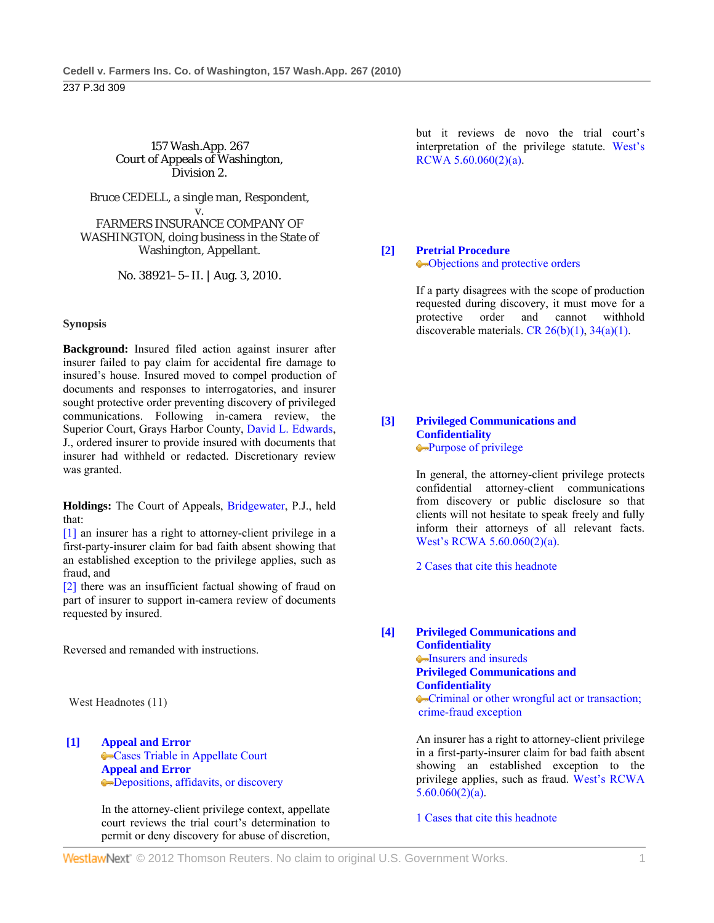## 157 Wash.App. 267 Court of Appeals of Washington, Division 2.

Bruce CEDELL, a single man, Respondent,

v. FARMERS INSURANCE COMPANY OF WASHINGTON, doing business in the State of Washington, Appellant.

No. 38921–5–II. | Aug. 3, 2010.

# **Synopsis**

**Background:** Insured filed action against insurer after insurer failed to pay claim for accidental fire damage to insured's house. Insured moved to compel production of documents and responses to interrogatories, and insurer sought protective order preventing discovery of privileged communications. Following in-camera review, the Superior Court, Grays Harbor County, David L. Edwards, J., ordered insurer to provide insured with documents that insurer had withheld or redacted. Discretionary review was granted.

**Holdings:** The Court of Appeals, Bridgewater, P.J., held that:

[1] an insurer has a right to attorney-client privilege in a first-party-insurer claim for bad faith absent showing that an established exception to the privilege applies, such as fraud, and

[2] there was an insufficient factual showing of fraud on part of insurer to support in-camera review of documents requested by insured.

Reversed and remanded with instructions.

West Headnotes (11)

**[1] Appeal and Error** Cases Triable in Appellate Court **Appeal and Error** Depositions, affidavits, or discovery

> In the attorney-client privilege context, appellate court reviews the trial court's determination to permit or deny discovery for abuse of discretion,

but it reviews de novo the trial court's interpretation of the privilege statute. West's RCWA 5.60.060(2)(a).

## **[2] Pretrial Procedure** Objections and protective orders

 If a party disagrees with the scope of production requested during discovery, it must move for a protective order and cannot withhold discoverable materials. CR  $26(b)(1)$ ,  $34(a)(1)$ .

**[3] Privileged Communications and Confidentiality** Purpose of privilege

> In general, the attorney-client privilege protects confidential attorney-client communications from discovery or public disclosure so that clients will not hesitate to speak freely and fully inform their attorneys of all relevant facts. West's RCWA 5.60.060(2)(a).

2 Cases that cite this headnote

**[4] Privileged Communications and Confidentiality Insurers and insureds Privileged Communications and Confidentiality** Criminal or other wrongful act or transaction; crime-fraud exception

> An insurer has a right to attorney-client privilege in a first-party-insurer claim for bad faith absent showing an established exception to the privilege applies, such as fraud. West's RCWA  $5.60.060(2)(a)$ .

1 Cases that cite this headnote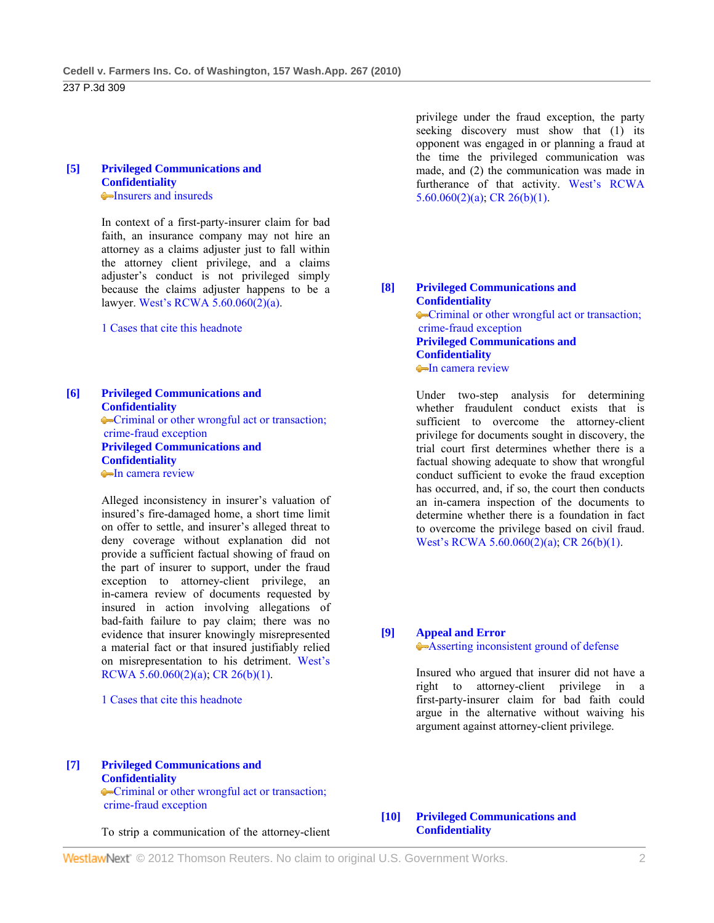#### **[5] Privileged Communications and Confidentiality Insurers and insureds**

 In context of a first-party-insurer claim for bad faith, an insurance company may not hire an attorney as a claims adjuster just to fall within the attorney client privilege, and a claims adjuster's conduct is not privileged simply because the claims adjuster happens to be a lawyer. West's RCWA 5.60.060(2)(a).

1 Cases that cite this headnote

## **[6] Privileged Communications and Confidentiality** Criminal or other wrongful act or transaction; crime-fraud exception **Privileged Communications and Confidentiality In camera review**

 Alleged inconsistency in insurer's valuation of insured's fire-damaged home, a short time limit on offer to settle, and insurer's alleged threat to deny coverage without explanation did not provide a sufficient factual showing of fraud on the part of insurer to support, under the fraud exception to attorney-client privilege, an in-camera review of documents requested by insured in action involving allegations of bad-faith failure to pay claim; there was no evidence that insurer knowingly misrepresented a material fact or that insured justifiably relied on misrepresentation to his detriment. West's RCWA 5.60.060(2)(a); CR 26(b)(1).

1 Cases that cite this headnote

#### **[7] Privileged Communications and Confidentiality**

Criminal or other wrongful act or transaction; crime-fraud exception

To strip a communication of the attorney-client

privilege under the fraud exception, the party seeking discovery must show that (1) its opponent was engaged in or planning a fraud at the time the privileged communication was made, and (2) the communication was made in furtherance of that activity. West's RCWA 5.60.060(2)(a); CR 26(b)(1).

**[8] Privileged Communications and Confidentiality** Criminal or other wrongful act or transaction; crime-fraud exception **Privileged Communications and Confidentiality In camera review** 

> Under two-step analysis for determining whether fraudulent conduct exists that is sufficient to overcome the attorney-client privilege for documents sought in discovery, the trial court first determines whether there is a factual showing adequate to show that wrongful conduct sufficient to evoke the fraud exception has occurred, and, if so, the court then conducts an in-camera inspection of the documents to determine whether there is a foundation in fact to overcome the privilege based on civil fraud. West's RCWA 5.60.060(2)(a); CR 26(b)(1).

## **[9] Appeal and Error**

Asserting inconsistent ground of defense

 Insured who argued that insurer did not have a right to attorney-client privilege in a first-party-insurer claim for bad faith could argue in the alternative without waiving his argument against attorney-client privilege.

## **[10] Privileged Communications and Confidentiality**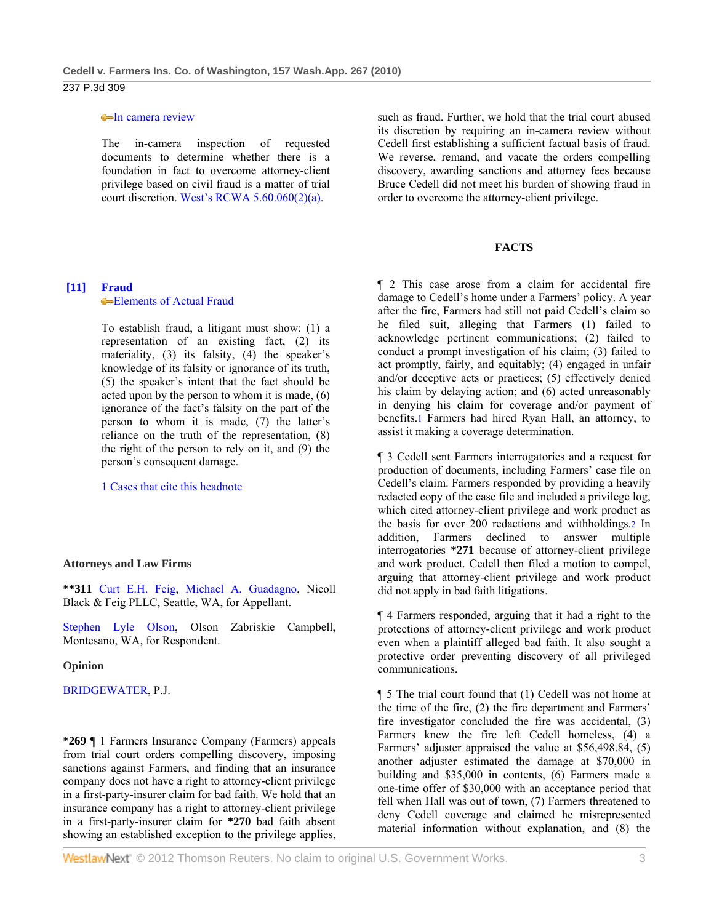#### **In camera review**

 The in-camera inspection of requested documents to determine whether there is a foundation in fact to overcome attorney-client privilege based on civil fraud is a matter of trial court discretion. West's RCWA 5.60.060(2)(a).

## **[11] Fraud**

**Elements of Actual Fraud** 

 To establish fraud, a litigant must show: (1) a representation of an existing fact, (2) its materiality, (3) its falsity, (4) the speaker's knowledge of its falsity or ignorance of its truth, (5) the speaker's intent that the fact should be acted upon by the person to whom it is made, (6) ignorance of the fact's falsity on the part of the person to whom it is made, (7) the latter's reliance on the truth of the representation, (8) the right of the person to rely on it, and (9) the person's consequent damage.

1 Cases that cite this headnote

#### **Attorneys and Law Firms**

**\*\*311** Curt E.H. Feig, Michael A. Guadagno, Nicoll Black & Feig PLLC, Seattle, WA, for Appellant.

Stephen Lyle Olson, Olson Zabriskie Campbell, Montesano, WA, for Respondent.

## **Opinion**

BRIDGEWATER, P.J.

**\*269** ¶ 1 Farmers Insurance Company (Farmers) appeals from trial court orders compelling discovery, imposing sanctions against Farmers, and finding that an insurance company does not have a right to attorney-client privilege in a first-party-insurer claim for bad faith. We hold that an insurance company has a right to attorney-client privilege in a first-party-insurer claim for **\*270** bad faith absent showing an established exception to the privilege applies,

such as fraud. Further, we hold that the trial court abused its discretion by requiring an in-camera review without Cedell first establishing a sufficient factual basis of fraud. We reverse, remand, and vacate the orders compelling discovery, awarding sanctions and attorney fees because Bruce Cedell did not meet his burden of showing fraud in order to overcome the attorney-client privilege.

## **FACTS**

¶ 2 This case arose from a claim for accidental fire damage to Cedell's home under a Farmers' policy. A year after the fire, Farmers had still not paid Cedell's claim so he filed suit, alleging that Farmers (1) failed to acknowledge pertinent communications; (2) failed to conduct a prompt investigation of his claim; (3) failed to act promptly, fairly, and equitably; (4) engaged in unfair and/or deceptive acts or practices; (5) effectively denied his claim by delaying action; and (6) acted unreasonably in denying his claim for coverage and/or payment of benefits.1 Farmers had hired Ryan Hall, an attorney, to assist it making a coverage determination.

¶ 3 Cedell sent Farmers interrogatories and a request for production of documents, including Farmers' case file on Cedell's claim. Farmers responded by providing a heavily redacted copy of the case file and included a privilege log, which cited attorney-client privilege and work product as the basis for over 200 redactions and withholdings.2 In addition, Farmers declined to answer multiple interrogatories **\*271** because of attorney-client privilege and work product. Cedell then filed a motion to compel, arguing that attorney-client privilege and work product did not apply in bad faith litigations.

¶ 4 Farmers responded, arguing that it had a right to the protections of attorney-client privilege and work product even when a plaintiff alleged bad faith. It also sought a protective order preventing discovery of all privileged communications.

¶ 5 The trial court found that (1) Cedell was not home at the time of the fire, (2) the fire department and Farmers' fire investigator concluded the fire was accidental, (3) Farmers knew the fire left Cedell homeless, (4) a Farmers' adjuster appraised the value at \$56,498.84, (5) another adjuster estimated the damage at \$70,000 in building and \$35,000 in contents, (6) Farmers made a one-time offer of \$30,000 with an acceptance period that fell when Hall was out of town, (7) Farmers threatened to deny Cedell coverage and claimed he misrepresented material information without explanation, and (8) the

**WestlawNext** © 2012 Thomson Reuters. No claim to original U.S. Government Works. 3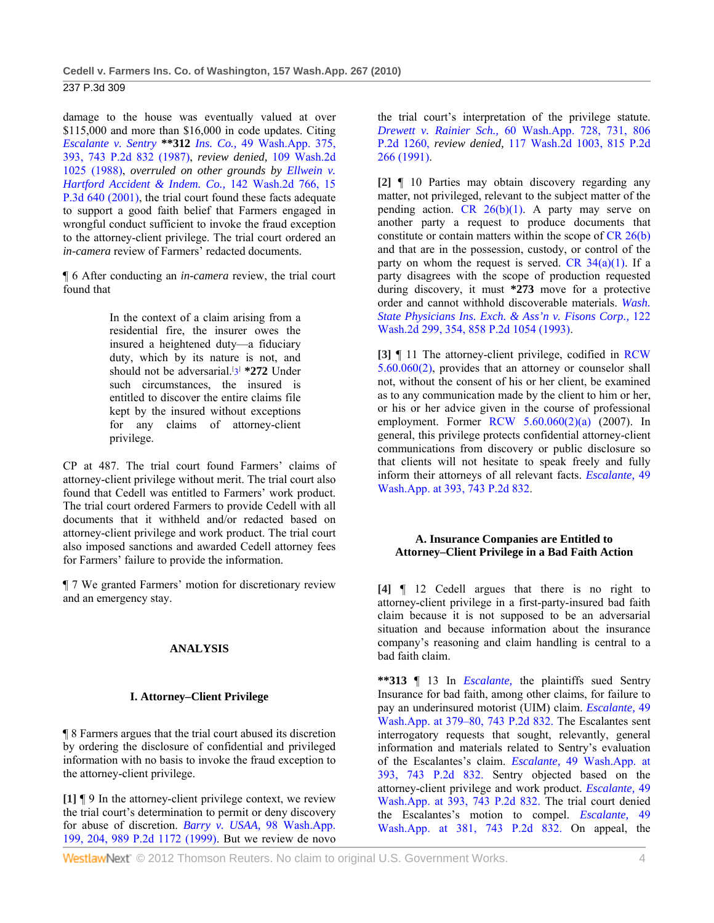damage to the house was eventually valued at over \$115,000 and more than \$16,000 in code updates. Citing *Escalante v. Sentry* **\*\*312** *Ins. Co.,* 49 Wash.App. 375, 393, 743 P.2d 832 (1987), *review denied,* 109 Wash.2d 1025 (1988), *overruled on other grounds by Ellwein v. Hartford Accident & Indem. Co.,* 142 Wash.2d 766, 15 P.3d 640 (2001), the trial court found these facts adequate to support a good faith belief that Farmers engaged in wrongful conduct sufficient to invoke the fraud exception to the attorney-client privilege. The trial court ordered an *in-camera* review of Farmers' redacted documents.

¶ 6 After conducting an *in-camera* review, the trial court found that

> In the context of a claim arising from a residential fire, the insurer owes the insured a heightened duty—a fiduciary duty, which by its nature is not, and should not be adversarial.<sup>[3]</sup> \*272 Under such circumstances, the insured is entitled to discover the entire claims file kept by the insured without exceptions for any claims of attorney-client privilege.

CP at 487. The trial court found Farmers' claims of attorney-client privilege without merit. The trial court also found that Cedell was entitled to Farmers' work product. The trial court ordered Farmers to provide Cedell with all documents that it withheld and/or redacted based on attorney-client privilege and work product. The trial court also imposed sanctions and awarded Cedell attorney fees for Farmers' failure to provide the information.

¶ 7 We granted Farmers' motion for discretionary review and an emergency stay.

# **ANALYSIS**

# **I. Attorney–Client Privilege**

¶ 8 Farmers argues that the trial court abused its discretion by ordering the disclosure of confidential and privileged information with no basis to invoke the fraud exception to the attorney-client privilege.

**[1]** ¶ 9 In the attorney-client privilege context, we review the trial court's determination to permit or deny discovery for abuse of discretion. *Barry v. USAA,* 98 Wash.App. 199, 204, 989 P.2d 1172 (1999). But we review de novo the trial court's interpretation of the privilege statute. *Drewett v. Rainier Sch.,* 60 Wash.App. 728, 731, 806 P.2d 1260, *review denied,* 117 Wash.2d 1003, 815 P.2d 266 (1991).

**[2]** ¶ 10 Parties may obtain discovery regarding any matter, not privileged, relevant to the subject matter of the pending action. CR  $26(b)(1)$ . A party may serve on another party a request to produce documents that constitute or contain matters within the scope of CR 26(b) and that are in the possession, custody, or control of the party on whom the request is served. CR  $34(a)(1)$ . If a party disagrees with the scope of production requested during discovery, it must **\*273** move for a protective order and cannot withhold discoverable materials. *Wash. State Physicians Ins. Exch. & Ass'n v. Fisons Corp.,* 122 Wash.2d 299, 354, 858 P.2d 1054 (1993).

**[3]** ¶ 11 The attorney-client privilege, codified in RCW 5.60.060(2), provides that an attorney or counselor shall not, without the consent of his or her client, be examined as to any communication made by the client to him or her, or his or her advice given in the course of professional employment. Former RCW 5.60.060(2)(a) (2007). In general, this privilege protects confidential attorney-client communications from discovery or public disclosure so that clients will not hesitate to speak freely and fully inform their attorneys of all relevant facts. *Escalante,* 49 Wash.App. at 393, 743 P.2d 832.

# **A. Insurance Companies are Entitled to Attorney–Client Privilege in a Bad Faith Action**

**[4]** ¶ 12 Cedell argues that there is no right to attorney-client privilege in a first-party-insured bad faith claim because it is not supposed to be an adversarial situation and because information about the insurance company's reasoning and claim handling is central to a bad faith claim.

**\*\*313** ¶ 13 In *Escalante,* the plaintiffs sued Sentry Insurance for bad faith, among other claims, for failure to pay an underinsured motorist (UIM) claim. *Escalante,* 49 Wash.App. at 379–80, 743 P.2d 832. The Escalantes sent interrogatory requests that sought, relevantly, general information and materials related to Sentry's evaluation of the Escalantes's claim. *Escalante,* 49 Wash.App. at 393, 743 P.2d 832. Sentry objected based on the attorney-client privilege and work product. *Escalante,* 49 Wash.App. at 393, 743 P.2d 832. The trial court denied the Escalantes's motion to compel. *Escalante,* 49 Wash.App. at 381, 743 P.2d 832. On appeal, the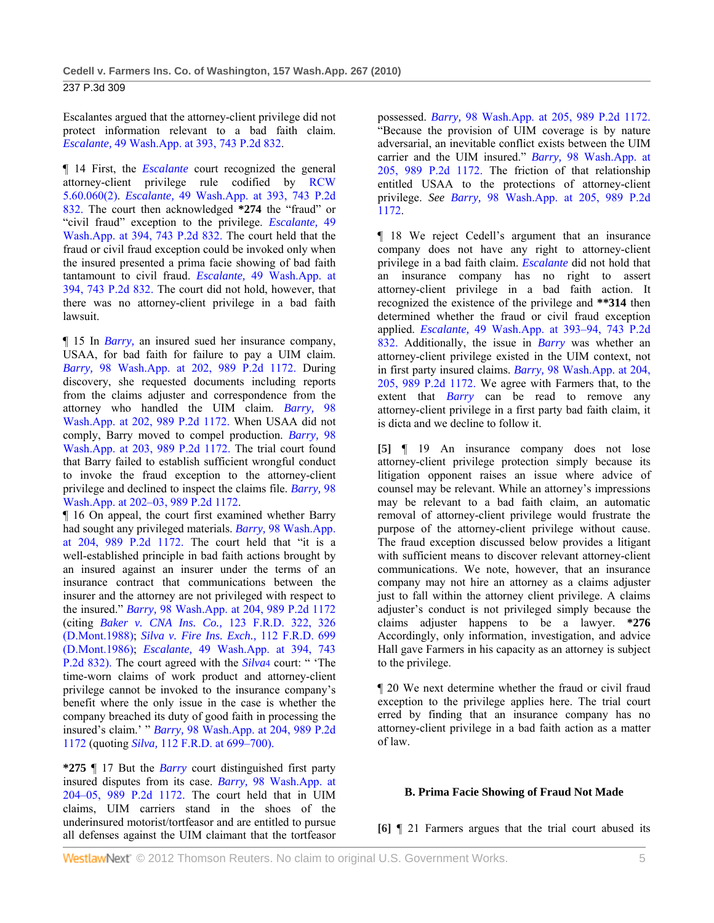Escalantes argued that the attorney-client privilege did not protect information relevant to a bad faith claim. *Escalante,* 49 Wash.App. at 393, 743 P.2d 832.

¶ 14 First, the *Escalante* court recognized the general attorney-client privilege rule codified by RCW 5.60.060(2). *Escalante,* 49 Wash.App. at 393, 743 P.2d 832. The court then acknowledged **\*274** the "fraud" or "civil fraud" exception to the privilege. *Escalante,* 49 Wash.App. at 394, 743 P.2d 832. The court held that the fraud or civil fraud exception could be invoked only when the insured presented a prima facie showing of bad faith tantamount to civil fraud. *Escalante,* 49 Wash.App. at 394, 743 P.2d 832. The court did not hold, however, that there was no attorney-client privilege in a bad faith lawsuit.

¶ 15 In *Barry,* an insured sued her insurance company, USAA, for bad faith for failure to pay a UIM claim. *Barry,* 98 Wash.App. at 202, 989 P.2d 1172. During discovery, she requested documents including reports from the claims adjuster and correspondence from the attorney who handled the UIM claim. *Barry,* 98 Wash.App. at 202, 989 P.2d 1172. When USAA did not comply, Barry moved to compel production. *Barry,* 98 Wash.App. at 203, 989 P.2d 1172. The trial court found that Barry failed to establish sufficient wrongful conduct to invoke the fraud exception to the attorney-client privilege and declined to inspect the claims file. *Barry,* 98 Wash.App. at 202–03, 989 P.2d 1172.

¶ 16 On appeal, the court first examined whether Barry had sought any privileged materials. *Barry,* 98 Wash.App. at 204, 989 P.2d 1172. The court held that "it is a well-established principle in bad faith actions brought by an insured against an insurer under the terms of an insurance contract that communications between the insurer and the attorney are not privileged with respect to the insured." *Barry,* 98 Wash.App. at 204, 989 P.2d 1172 (citing *Baker v. CNA Ins. Co.,* 123 F.R.D. 322, 326 (D.Mont.1988); *Silva v. Fire Ins. Exch.,* 112 F.R.D. 699 (D.Mont.1986); *Escalante,* 49 Wash.App. at 394, 743 P.2d 832). The court agreed with the *Silva*4 court: " 'The time-worn claims of work product and attorney-client privilege cannot be invoked to the insurance company's benefit where the only issue in the case is whether the company breached its duty of good faith in processing the insured's claim.' " *Barry,* 98 Wash.App. at 204, 989 P.2d 1172 (quoting *Silva,* 112 F.R.D. at 699–700).

**\*275** ¶ 17 But the *Barry* court distinguished first party insured disputes from its case. *Barry,* 98 Wash.App. at 204–05, 989 P.2d 1172. The court held that in UIM claims, UIM carriers stand in the shoes of the underinsured motorist/tortfeasor and are entitled to pursue all defenses against the UIM claimant that the tortfeasor possessed. *Barry,* 98 Wash.App. at 205, 989 P.2d 1172. "Because the provision of UIM coverage is by nature adversarial, an inevitable conflict exists between the UIM carrier and the UIM insured." *Barry,* 98 Wash.App. at 205, 989 P.2d 1172. The friction of that relationship entitled USAA to the protections of attorney-client privilege. *See Barry,* 98 Wash.App. at 205, 989 P.2d 1172.

¶ 18 We reject Cedell's argument that an insurance company does not have any right to attorney-client privilege in a bad faith claim. *Escalante* did not hold that an insurance company has no right to assert attorney-client privilege in a bad faith action. It recognized the existence of the privilege and **\*\*314** then determined whether the fraud or civil fraud exception applied. *Escalante,* 49 Wash.App. at 393–94, 743 P.2d 832. Additionally, the issue in *Barry* was whether an attorney-client privilege existed in the UIM context, not in first party insured claims. *Barry,* 98 Wash.App. at 204, 205, 989 P.2d 1172. We agree with Farmers that, to the extent that *Barry* can be read to remove any attorney-client privilege in a first party bad faith claim, it is dicta and we decline to follow it.

**[5]** ¶ 19 An insurance company does not lose attorney-client privilege protection simply because its litigation opponent raises an issue where advice of counsel may be relevant. While an attorney's impressions may be relevant to a bad faith claim, an automatic removal of attorney-client privilege would frustrate the purpose of the attorney-client privilege without cause. The fraud exception discussed below provides a litigant with sufficient means to discover relevant attorney-client communications. We note, however, that an insurance company may not hire an attorney as a claims adjuster just to fall within the attorney client privilege. A claims adjuster's conduct is not privileged simply because the claims adjuster happens to be a lawyer. **\*276** Accordingly, only information, investigation, and advice Hall gave Farmers in his capacity as an attorney is subject to the privilege.

¶ 20 We next determine whether the fraud or civil fraud exception to the privilege applies here. The trial court erred by finding that an insurance company has no attorney-client privilege in a bad faith action as a matter of law.

## **B. Prima Facie Showing of Fraud Not Made**

**[6]** ¶ 21 Farmers argues that the trial court abused its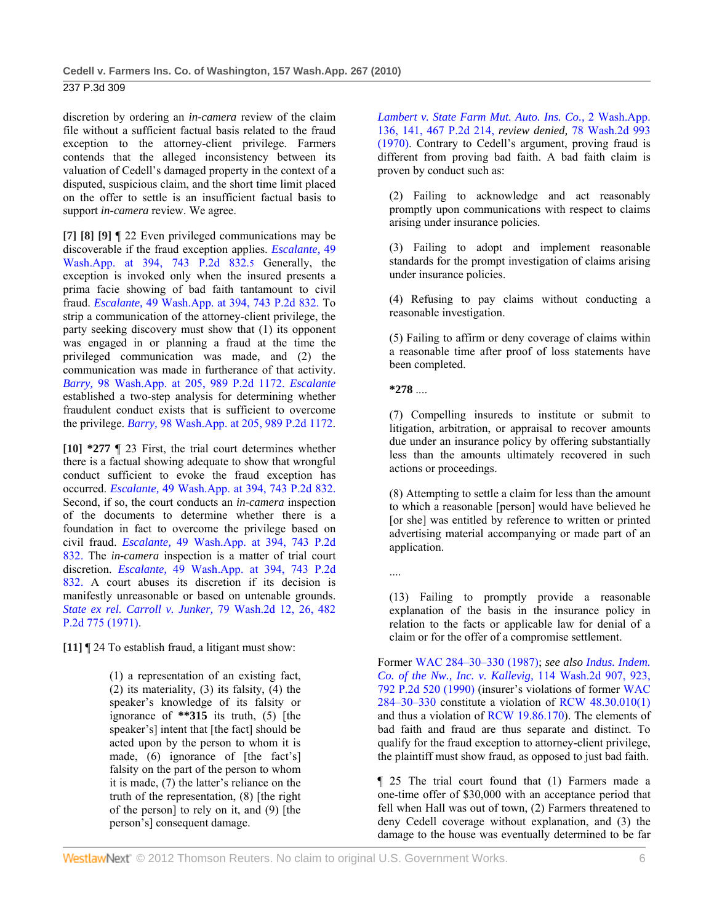237 P.3d 309

discretion by ordering an *in-camera* review of the claim file without a sufficient factual basis related to the fraud exception to the attorney-client privilege. Farmers contends that the alleged inconsistency between its valuation of Cedell's damaged property in the context of a disputed, suspicious claim, and the short time limit placed on the offer to settle is an insufficient factual basis to support *in-camera* review. We agree.

**[7] [8] [9]** ¶ 22 Even privileged communications may be discoverable if the fraud exception applies. *Escalante,* 49 Wash.App. at 394, 743 P.2d 832.5 Generally, the exception is invoked only when the insured presents a prima facie showing of bad faith tantamount to civil fraud. *Escalante,* 49 Wash.App. at 394, 743 P.2d 832. To strip a communication of the attorney-client privilege, the party seeking discovery must show that (1) its opponent was engaged in or planning a fraud at the time the privileged communication was made, and (2) the communication was made in furtherance of that activity. *Barry,* 98 Wash.App. at 205, 989 P.2d 1172. *Escalante* established a two-step analysis for determining whether fraudulent conduct exists that is sufficient to overcome the privilege. *Barry,* 98 Wash.App. at 205, 989 P.2d 1172.

**[10] \*277** ¶ 23 First, the trial court determines whether there is a factual showing adequate to show that wrongful conduct sufficient to evoke the fraud exception has occurred. *Escalante,* 49 Wash.App. at 394, 743 P.2d 832. Second, if so, the court conducts an *in-camera* inspection of the documents to determine whether there is a foundation in fact to overcome the privilege based on civil fraud. *Escalante,* 49 Wash.App. at 394, 743 P.2d 832. The *in-camera* inspection is a matter of trial court discretion. *Escalante,* 49 Wash.App. at 394, 743 P.2d 832. A court abuses its discretion if its decision is manifestly unreasonable or based on untenable grounds. *State ex rel. Carroll v. Junker,* 79 Wash.2d 12, 26, 482 P.2d 775 (1971).

**[11]** ¶ 24 To establish fraud, a litigant must show:

(1) a representation of an existing fact, (2) its materiality, (3) its falsity, (4) the speaker's knowledge of its falsity or ignorance of **\*\*315** its truth, (5) [the speaker's] intent that [the fact] should be acted upon by the person to whom it is made, (6) ignorance of [the fact's] falsity on the part of the person to whom it is made, (7) the latter's reliance on the truth of the representation, (8) [the right of the person] to rely on it, and (9) [the person's] consequent damage.

*Lambert v. State Farm Mut. Auto. Ins. Co.,* 2 Wash.App. 136, 141, 467 P.2d 214, *review denied,* 78 Wash.2d 993 (1970). Contrary to Cedell's argument, proving fraud is different from proving bad faith. A bad faith claim is proven by conduct such as:

(2) Failing to acknowledge and act reasonably promptly upon communications with respect to claims arising under insurance policies.

(3) Failing to adopt and implement reasonable standards for the prompt investigation of claims arising under insurance policies.

(4) Refusing to pay claims without conducting a reasonable investigation.

(5) Failing to affirm or deny coverage of claims within a reasonable time after proof of loss statements have been completed.

**\*278** ....

(7) Compelling insureds to institute or submit to litigation, arbitration, or appraisal to recover amounts due under an insurance policy by offering substantially less than the amounts ultimately recovered in such actions or proceedings.

(8) Attempting to settle a claim for less than the amount to which a reasonable [person] would have believed he [or she] was entitled by reference to written or printed advertising material accompanying or made part of an application.

....

(13) Failing to promptly provide a reasonable explanation of the basis in the insurance policy in relation to the facts or applicable law for denial of a claim or for the offer of a compromise settlement.

Former WAC 284–30–330 (1987); *see also Indus. Indem. Co. of the Nw., Inc. v. Kallevig,* 114 Wash.2d 907, 923, 792 P.2d 520 (1990) (insurer's violations of former WAC 284–30–330 constitute a violation of RCW 48.30.010(1) and thus a violation of RCW 19.86.170). The elements of bad faith and fraud are thus separate and distinct. To qualify for the fraud exception to attorney-client privilege, the plaintiff must show fraud, as opposed to just bad faith.

¶ 25 The trial court found that (1) Farmers made a one-time offer of \$30,000 with an acceptance period that fell when Hall was out of town, (2) Farmers threatened to deny Cedell coverage without explanation, and (3) the damage to the house was eventually determined to be far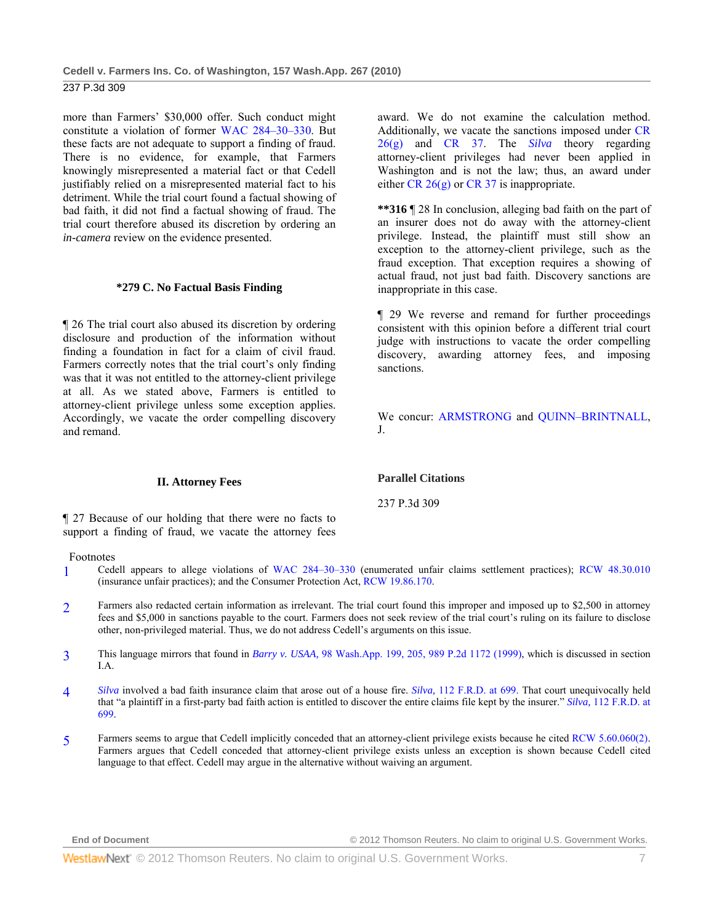more than Farmers' \$30,000 offer. Such conduct might constitute a violation of former WAC 284–30–330. But these facts are not adequate to support a finding of fraud. There is no evidence, for example, that Farmers knowingly misrepresented a material fact or that Cedell justifiably relied on a misrepresented material fact to his detriment. While the trial court found a factual showing of bad faith, it did not find a factual showing of fraud. The trial court therefore abused its discretion by ordering an *in-camera* review on the evidence presented.

## **\*279 C. No Factual Basis Finding**

¶ 26 The trial court also abused its discretion by ordering disclosure and production of the information without finding a foundation in fact for a claim of civil fraud. Farmers correctly notes that the trial court's only finding was that it was not entitled to the attorney-client privilege at all. As we stated above, Farmers is entitled to attorney-client privilege unless some exception applies. Accordingly, we vacate the order compelling discovery and remand.

award. We do not examine the calculation method. Additionally, we vacate the sanctions imposed under CR 26(g) and CR 37. The *Silva* theory regarding attorney-client privileges had never been applied in Washington and is not the law; thus, an award under either CR  $26(g)$  or CR 37 is inappropriate.

**\*\*316** ¶ 28 In conclusion, alleging bad faith on the part of an insurer does not do away with the attorney-client privilege. Instead, the plaintiff must still show an exception to the attorney-client privilege, such as the fraud exception. That exception requires a showing of actual fraud, not just bad faith. Discovery sanctions are inappropriate in this case.

¶ 29 We reverse and remand for further proceedings consistent with this opinion before a different trial court judge with instructions to vacate the order compelling discovery, awarding attorney fees, and imposing sanctions.

We concur: ARMSTRONG and QUINN–BRINTNALL, J.

#### **II. Attorney Fees**

¶ 27 Because of our holding that there were no facts to support a finding of fraud, we vacate the attorney fees

Footnotes

- 1 Cedell appears to allege violations of WAC 284–30–330 (enumerated unfair claims settlement practices); RCW 48.30.010 (insurance unfair practices); and the Consumer Protection Act, RCW 19.86.170.
- 2 Farmers also redacted certain information as irrelevant. The trial court found this improper and imposed up to \$2,500 in attorney fees and \$5,000 in sanctions payable to the court. Farmers does not seek review of the trial court's ruling on its failure to disclose other, non-privileged material. Thus, we do not address Cedell's arguments on this issue.
- 3 This language mirrors that found in *Barry v. USAA,* 98 Wash.App. 199, 205, 989 P.2d 1172 (1999), which is discussed in section I.A.
- 4 *Silva* involved a bad faith insurance claim that arose out of a house fire. *Silva,* 112 F.R.D. at 699. That court unequivocally held that "a plaintiff in a first-party bad faith action is entitled to discover the entire claims file kept by the insurer." *Silva,* 112 F.R.D. at 699.
- 5 Farmers seems to argue that Cedell implicitly conceded that an attorney-client privilege exists because he cited RCW 5.60.060(2). Farmers argues that Cedell conceded that attorney-client privilege exists unless an exception is shown because Cedell cited language to that effect. Cedell may argue in the alternative without waiving an argument.

**Parallel Citations**  237 P.3d 309